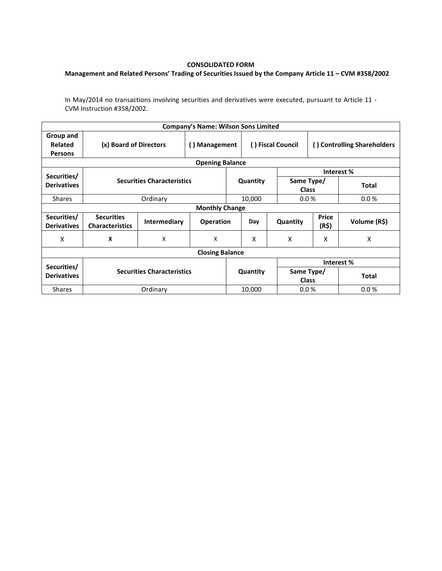## **CONSOLIDATED FORM**

## **Management and Related Persons' Trading of Securities Issued by the Company Article 11 – CVM #358/2002**

In May/2014 no transactions involving securities and derivatives were executed, pursuant to Article 11 - CVM Instruction #358/2002.

| <b>Company's Name: Wilson Sons Limited</b> |                                             |                                   |                  |          |                   |                            |                             |              |  |  |  |
|--------------------------------------------|---------------------------------------------|-----------------------------------|------------------|----------|-------------------|----------------------------|-----------------------------|--------------|--|--|--|
| Group and<br>Related<br><b>Persons</b>     | (x) Board of Directors                      |                                   | () Management    |          | () Fiscal Council |                            | () Controlling Shareholders |              |  |  |  |
| <b>Opening Balance</b>                     |                                             |                                   |                  |          |                   |                            |                             |              |  |  |  |
| Securities/                                |                                             |                                   |                  |          |                   |                            | Interest%                   |              |  |  |  |
| <b>Derivatives</b>                         |                                             | <b>Securities Characteristics</b> |                  | Quantity |                   | Same Type/<br><b>Class</b> |                             | <b>Total</b> |  |  |  |
| <b>Shares</b>                              |                                             | Ordinary                          |                  |          | 10,000            | 0.0%                       |                             | 0.0%         |  |  |  |
| <b>Monthly Change</b>                      |                                             |                                   |                  |          |                   |                            |                             |              |  |  |  |
| Securities/<br><b>Derivatives</b>          | <b>Securities</b><br><b>Characteristics</b> | Intermediary                      | <b>Operation</b> |          | Day               | Quantity                   | <b>Price</b><br>(R\$)       | Volume (R\$) |  |  |  |
| X                                          | X                                           | X                                 | X                |          | X                 | X                          | X                           | X            |  |  |  |
| <b>Closing Balance</b>                     |                                             |                                   |                  |          |                   |                            |                             |              |  |  |  |
|                                            |                                             |                                   |                  |          |                   | Interest%                  |                             |              |  |  |  |
| Securities/<br><b>Derivatives</b>          | <b>Securities Characteristics</b>           |                                   |                  | Quantity |                   | Same Type/<br><b>Class</b> |                             | <b>Total</b> |  |  |  |
| <b>Shares</b>                              | Ordinary                                    |                                   |                  | 10,000   |                   | 0.0%                       |                             | 0.0%         |  |  |  |